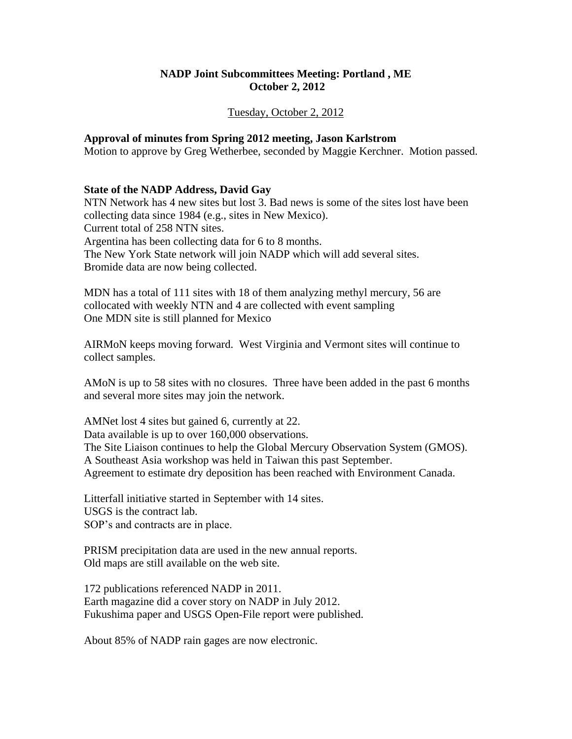## **NADP Joint Subcommittees Meeting: Portland , ME October 2, 2012**

#### Tuesday, October 2, 2012

#### **Approval of minutes from Spring 2012 meeting, Jason Karlstrom**

Motion to approve by Greg Wetherbee, seconded by Maggie Kerchner. Motion passed.

#### **State of the NADP Address, David Gay**

NTN Network has 4 new sites but lost 3. Bad news is some of the sites lost have been collecting data since 1984 (e.g., sites in New Mexico). Current total of 258 NTN sites. Argentina has been collecting data for 6 to 8 months. The New York State network will join NADP which will add several sites. Bromide data are now being collected.

MDN has a total of 111 sites with 18 of them analyzing methyl mercury, 56 are collocated with weekly NTN and 4 are collected with event sampling One MDN site is still planned for Mexico

AIRMoN keeps moving forward. West Virginia and Vermont sites will continue to collect samples.

AMoN is up to 58 sites with no closures. Three have been added in the past 6 months and several more sites may join the network.

AMNet lost 4 sites but gained 6, currently at 22. Data available is up to over 160,000 observations. The Site Liaison continues to help the Global Mercury Observation System (GMOS). A Southeast Asia workshop was held in Taiwan this past September. Agreement to estimate dry deposition has been reached with Environment Canada.

Litterfall initiative started in September with 14 sites. USGS is the contract lab. SOP's and contracts are in place.

PRISM precipitation data are used in the new annual reports. Old maps are still available on the web site.

172 publications referenced NADP in 2011. Earth magazine did a cover story on NADP in July 2012. Fukushima paper and USGS Open-File report were published.

About 85% of NADP rain gages are now electronic.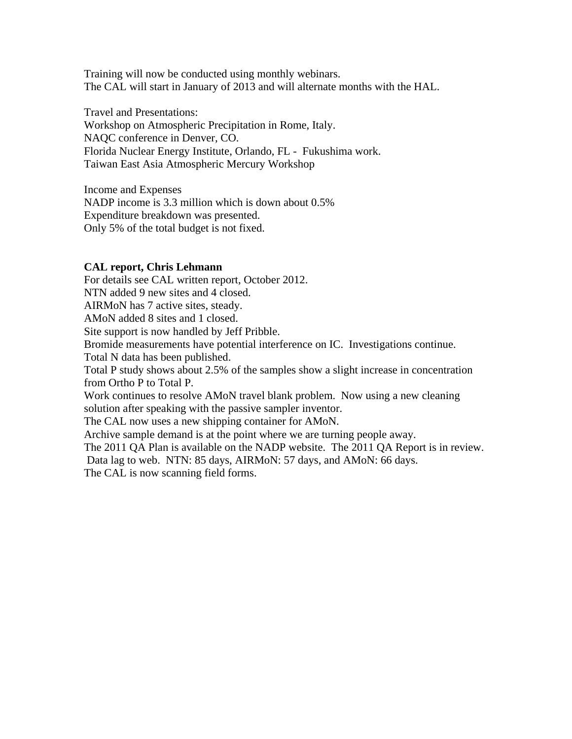Training will now be conducted using monthly webinars. The CAL will start in January of 2013 and will alternate months with the HAL.

Travel and Presentations: Workshop on Atmospheric Precipitation in Rome, Italy. NAQC conference in Denver, CO. Florida Nuclear Energy Institute, Orlando, FL - Fukushima work. Taiwan East Asia Atmospheric Mercury Workshop

Income and Expenses NADP income is 3.3 million which is down about 0.5% Expenditure breakdown was presented. Only 5% of the total budget is not fixed.

## **CAL report, Chris Lehmann**

For details see CAL written report, October 2012.

NTN added 9 new sites and 4 closed.

AIRMoN has 7 active sites, steady.

AMoN added 8 sites and 1 closed.

Site support is now handled by Jeff Pribble.

Bromide measurements have potential interference on IC. Investigations continue.

Total N data has been published.

Total P study shows about 2.5% of the samples show a slight increase in concentration from Ortho P to Total P.

Work continues to resolve AMoN travel blank problem. Now using a new cleaning solution after speaking with the passive sampler inventor.

The CAL now uses a new shipping container for AMoN.

Archive sample demand is at the point where we are turning people away.

The 2011 QA Plan is available on the NADP website. The 2011 QA Report is in review.

Data lag to web. NTN: 85 days, AIRMoN: 57 days, and AMoN: 66 days.

The CAL is now scanning field forms.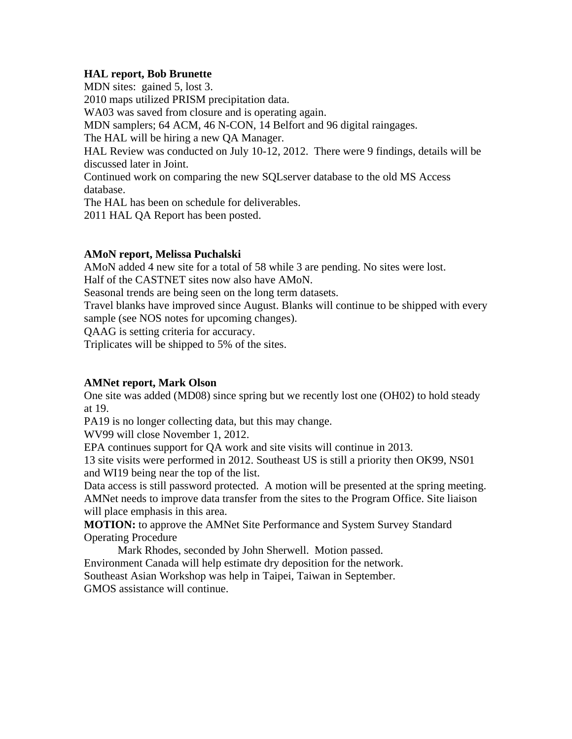## **HAL report, Bob Brunette**

MDN sites: gained 5, lost 3. 2010 maps utilized PRISM precipitation data. WA03 was saved from closure and is operating again. MDN samplers; 64 ACM, 46 N-CON, 14 Belfort and 96 digital raingages. The HAL will be hiring a new QA Manager. HAL Review was conducted on July 10-12, 2012. There were 9 findings, details will be discussed later in Joint. Continued work on comparing the new SQLserver database to the old MS Access database. The HAL has been on schedule for deliverables. 2011 HAL QA Report has been posted.

## **AMoN report, Melissa Puchalski**

AMoN added 4 new site for a total of 58 while 3 are pending. No sites were lost. Half of the CASTNET sites now also have AMoN.

Seasonal trends are being seen on the long term datasets.

Travel blanks have improved since August. Blanks will continue to be shipped with every sample (see NOS notes for upcoming changes).

QAAG is setting criteria for accuracy.

Triplicates will be shipped to 5% of the sites.

# **AMNet report, Mark Olson**

One site was added (MD08) since spring but we recently lost one (OH02) to hold steady at 19.

PA19 is no longer collecting data, but this may change.

WV99 will close November 1, 2012.

EPA continues support for QA work and site visits will continue in 2013.

13 site visits were performed in 2012. Southeast US is still a priority then OK99, NS01 and WI19 being near the top of the list.

Data access is still password protected. A motion will be presented at the spring meeting. AMNet needs to improve data transfer from the sites to the Program Office. Site liaison will place emphasis in this area.

**MOTION:** to approve the AMNet Site Performance and System Survey Standard Operating Procedure

Mark Rhodes, seconded by John Sherwell. Motion passed. Environment Canada will help estimate dry deposition for the network. Southeast Asian Workshop was help in Taipei, Taiwan in September. GMOS assistance will continue.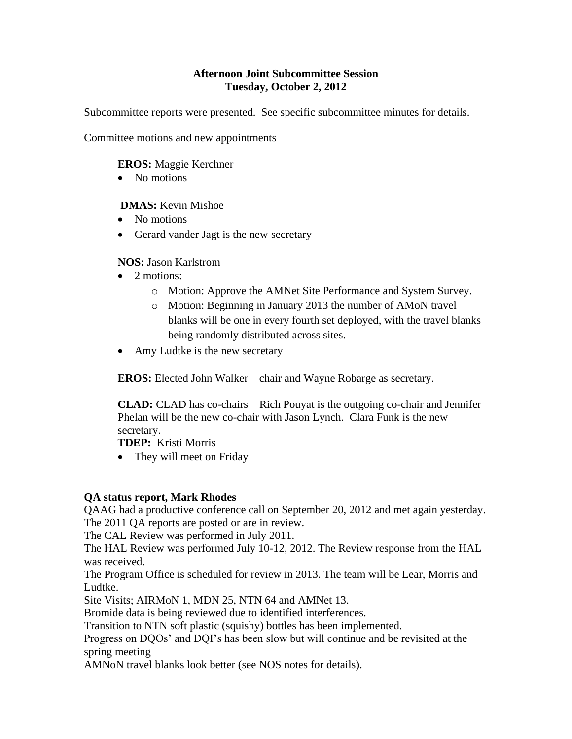## **Afternoon Joint Subcommittee Session Tuesday, October 2, 2012**

Subcommittee reports were presented. See specific subcommittee minutes for details.

Committee motions and new appointments

**EROS:** Maggie Kerchner

• No motions

 **DMAS:** Kevin Mishoe

- No motions
- Gerard vander Jagt is the new secretary

**NOS:** Jason Karlstrom

- 2 motions:
	- o Motion: Approve the AMNet Site Performance and System Survey.
	- o Motion: Beginning in January 2013 the number of AMoN travel blanks will be one in every fourth set deployed, with the travel blanks being randomly distributed across sites.
- Amy Ludtke is the new secretary

**EROS:** Elected John Walker – chair and Wayne Robarge as secretary.

**CLAD:** CLAD has co-chairs – Rich Pouyat is the outgoing co-chair and Jennifer Phelan will be the new co-chair with Jason Lynch. Clara Funk is the new secretary.

**TDEP:** Kristi Morris

• They will meet on Friday

# **QA status report, Mark Rhodes**

QAAG had a productive conference call on September 20, 2012 and met again yesterday. The 2011 QA reports are posted or are in review.

The CAL Review was performed in July 2011.

The HAL Review was performed July 10-12, 2012. The Review response from the HAL was received.

The Program Office is scheduled for review in 2013. The team will be Lear, Morris and Ludtke.

Site Visits; AIRMoN 1, MDN 25, NTN 64 and AMNet 13.

Bromide data is being reviewed due to identified interferences.

Transition to NTN soft plastic (squishy) bottles has been implemented.

Progress on DQOs' and DQI's has been slow but will continue and be revisited at the spring meeting

AMNoN travel blanks look better (see NOS notes for details).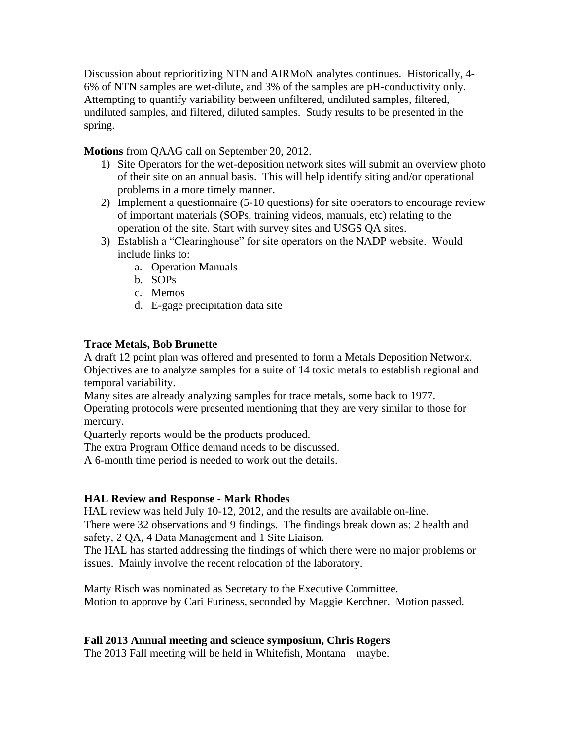Discussion about reprioritizing NTN and AIRMoN analytes continues. Historically, 4- 6% of NTN samples are wet-dilute, and 3% of the samples are pH-conductivity only. Attempting to quantify variability between unfiltered, undiluted samples, filtered, undiluted samples, and filtered, diluted samples. Study results to be presented in the spring.

**Motions** from QAAG call on September 20, 2012.

- 1) Site Operators for the wet-deposition network sites will submit an overview photo of their site on an annual basis. This will help identify siting and/or operational problems in a more timely manner.
- 2) Implement a questionnaire (5-10 questions) for site operators to encourage review of important materials (SOPs, training videos, manuals, etc) relating to the operation of the site. Start with survey sites and USGS QA sites.
- 3) Establish a "Clearinghouse" for site operators on the NADP website. Would include links to:
	- a. Operation Manuals
	- b. SOPs
	- c. Memos
	- d. E-gage precipitation data site

## **Trace Metals, Bob Brunette**

A draft 12 point plan was offered and presented to form a Metals Deposition Network. Objectives are to analyze samples for a suite of 14 toxic metals to establish regional and temporal variability.

Many sites are already analyzing samples for trace metals, some back to 1977. Operating protocols were presented mentioning that they are very similar to those for mercury.

Quarterly reports would be the products produced.

The extra Program Office demand needs to be discussed.

A 6-month time period is needed to work out the details.

### **HAL Review and Response - Mark Rhodes**

HAL review was held July 10-12, 2012, and the results are available on-line.

There were 32 observations and 9 findings. The findings break down as: 2 health and safety, 2 QA, 4 Data Management and 1 Site Liaison.

The HAL has started addressing the findings of which there were no major problems or issues. Mainly involve the recent relocation of the laboratory.

Marty Risch was nominated as Secretary to the Executive Committee. Motion to approve by Cari Furiness, seconded by Maggie Kerchner. Motion passed.

# **Fall 2013 Annual meeting and science symposium, Chris Rogers**

The 2013 Fall meeting will be held in Whitefish, Montana – maybe.